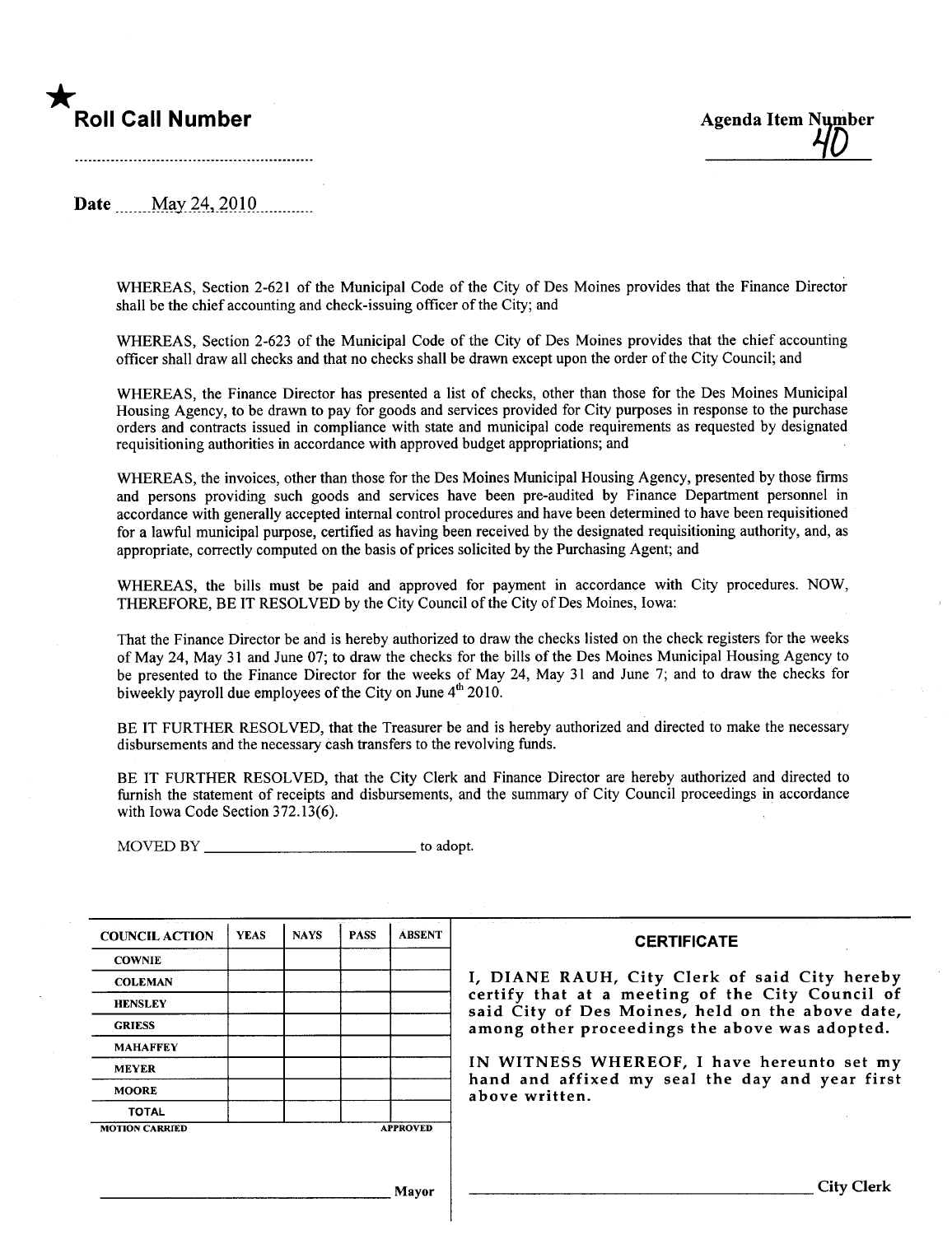# \*



Date **May 24, 2010** 2010

WHEREAS, Section 2-621 of the Municipal Code of the City of Des Moines provides that the Finance Director shall be the chief accounting and check-issuing officer of the City; and

WHEREAS, Section 2-623 of the Municipal Code of the City of Des Moines provides that the chief accounting officer shall draw all checks and that no checks shall be drawn except upon the order of the City Council; and

WHEREAS, the Finance Director has presented a list of checks, other than those for the Des Moines Municipal Housing Agency, to be drawn to pay for goods and services provided for City purposes in response to the purchase orders and contracts issued in compliance with state and municipal code requirements as requested by designated requisitioning authorities in accordance with approved budget appropriations; and

WHEREAS, the invoices, other than those for the Des Moines Municipal Housing Agency, presented by those firms and persons providing such goods and services have been pre-audited by Finance Department personnel in accordance with generally accepted internal control procedures and have been determined to have been requisitioned for a lawful municipal purose, certified as having been received by the designated requisitioning authority, and, as appropriate, correctly computed on the basis of prices solicited by the Purchasing Agent; and

WHEREAS, the bils must be paid and approved for payment in accordance with City procedures. NOW, THEREFORE, BE IT RESOLVED by the City Council of the City of Des Moines, Iowa:

That the Finance Director be and is hereby authorized to draw the checks listed on the check registers for the weeks of May 24, May 31 and June 07; to draw the checks for the bills of the Des Moines Municipal Housing Agency to be presented to the Finance Director for the weeks of May 24, May 31 and June 7; and to draw the checks for biweekly payroll due employees of the City on June  $4<sup>th</sup>$  2010.

BE IT FURTHER RESOLVED, that the Treasurer be and is hereby authorized and directed to make the necessary disbursements and the necessary cash transfers to the revolving fuds.

BE IT FURTHER RESOLVED, that the City Clerk and Finance Director are hereby authorized and directed to furnish the statement of receipts and disbursements, and the summary of City Council proceedings in accordance with Iowa Code Section 372.13(6).

MOVED BY to adopt.

| <b>COUNCIL ACTION</b> | <b>YEAS</b> | <b>NAYS</b> | <b>PASS</b> | <b>ABSENT</b>   | <b>CERTIFICATE</b>                                                                                   |
|-----------------------|-------------|-------------|-------------|-----------------|------------------------------------------------------------------------------------------------------|
| <b>COWNIE</b>         |             |             |             |                 |                                                                                                      |
| <b>COLEMAN</b>        |             |             |             |                 | I, DIANE RAUH, City Clerk of said City hereby                                                        |
| <b>HENSLEY</b>        |             |             |             |                 | certify that at a meeting of the City Council of<br>said City of Des Moines, held on the above date, |
| <b>GRIESS</b>         |             |             |             |                 | among other proceedings the above was adopted.                                                       |
| <b>MAHAFFEY</b>       |             |             |             |                 |                                                                                                      |
| <b>MEYER</b>          |             |             |             |                 | IN WITNESS WHEREOF, I have hereunto set my                                                           |
| <b>MOORE</b>          |             |             |             |                 | hand and affixed my seal the day and year first<br>above written.                                    |
| <b>TOTAL</b>          |             |             |             |                 |                                                                                                      |
| <b>MOTION CARRIED</b> |             |             |             | <b>APPROVED</b> |                                                                                                      |
|                       |             |             |             |                 |                                                                                                      |
|                       |             |             |             | Mayor           | <b>City Clerk</b>                                                                                    |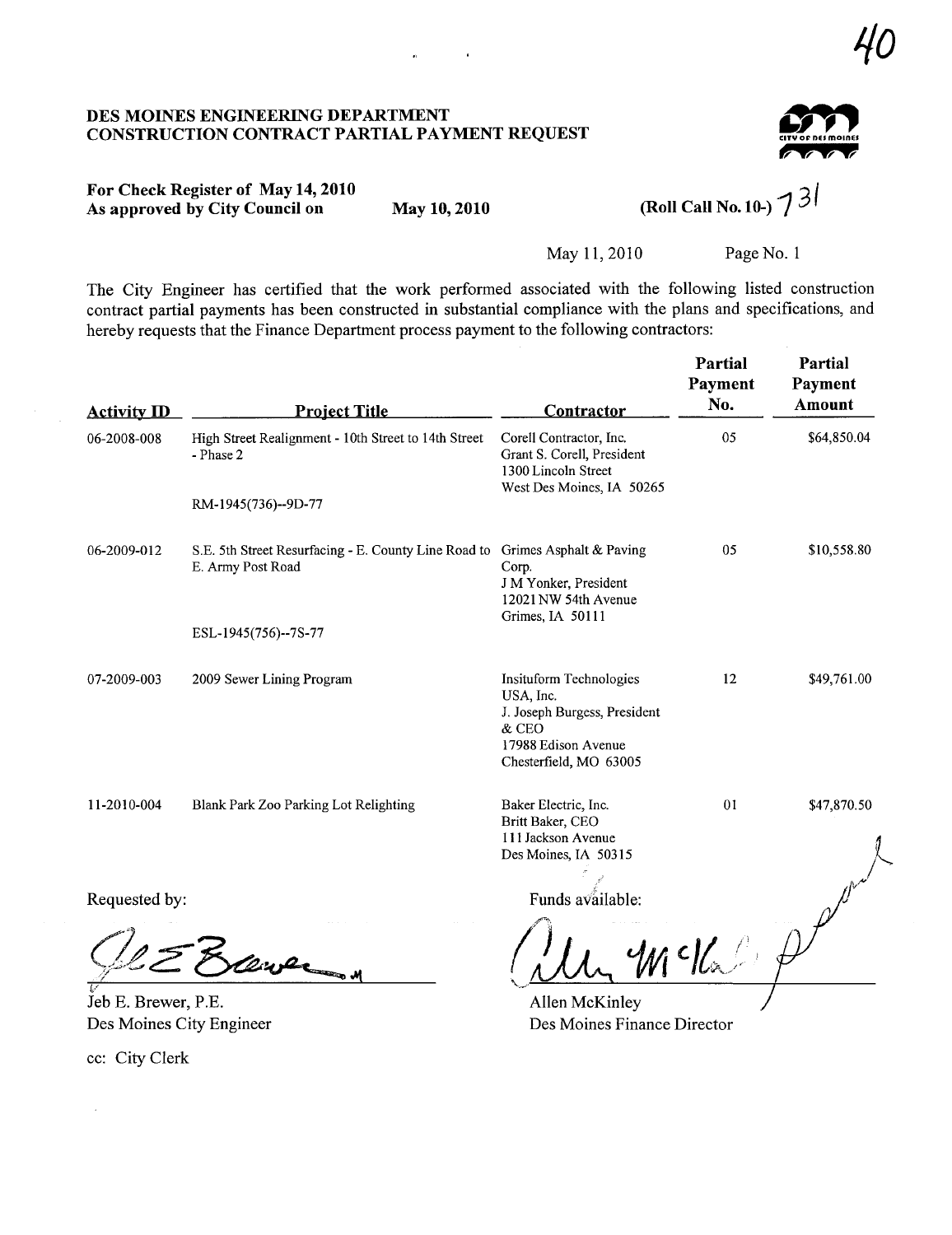#### DES MOINES ENGINERIG DEPARTMENT CONSTRUCTION CONTRACT PARTIAL PAYMENT REQUEST



## For Check Register of May 14, 2010 As approved by City Council on May 10, 2010 (Roll Call No. 10-)  $7^{3}$

 $\mathbf{r}$ 

 $\hat{\mathbf{n}}$ 

May 11,2010 Page No.1

The City Engineer has certified that the work performed associated with the following listed construction contract partial payments has been constructed in substantial compliance with the plans and specifications, and hereby requests that the Finance Department process payment to the following contractors:

| <b>Activity ID</b> | <b>Project Title</b>                                                      | Contractor                                                                                                                     | <b>Partial</b><br>Payment<br>No. | Partial<br>Payment<br><b>Amount</b> |
|--------------------|---------------------------------------------------------------------------|--------------------------------------------------------------------------------------------------------------------------------|----------------------------------|-------------------------------------|
| 06-2008-008        | High Street Realignment - 10th Street to 14th Street<br>- Phase 2         | Corell Contractor, Inc.<br>Grant S. Corell, President<br>1300 Lincoln Street<br>West Des Moines, IA 50265                      | 05                               | \$64,850.04                         |
|                    | RM-1945(736)--9D-77                                                       |                                                                                                                                |                                  |                                     |
| 06-2009-012        | S.E. 5th Street Resurfacing - E. County Line Road to<br>E. Army Post Road | Grimes Asphalt & Paving<br>Corp.<br>J M Yonker, President<br>12021 NW 54th Avenue<br>Grimes, IA 50111                          | 05                               | \$10,558.80                         |
|                    | ESL-1945(756)--7S-77                                                      |                                                                                                                                |                                  |                                     |
| 07-2009-003        | 2009 Sewer Lining Program                                                 | Insituform Technologies<br>USA, Inc.<br>J. Joseph Burgess, President<br>& CEO<br>17988 Edison Avenue<br>Chesterfield, MO 63005 | 12                               | \$49,761.00                         |
| 11-2010-004        | Blank Park Zoo Parking Lot Relighting                                     | Baker Electric, Inc.<br>Britt Baker, CEO<br>111 Jackson Avenue<br>Des Moines, IA 50315                                         | 01                               | \$47,870.50                         |
| Requested by:      |                                                                           | Funds available:                                                                                                               |                                  |                                     |
|                    |                                                                           |                                                                                                                                | c                                |                                     |

Jeb E. Brewer, P.E. Des Moines City Engineer

cc: City Clerk

 $\sim$ 

Allen McKinley Des Moines Finance Director

'10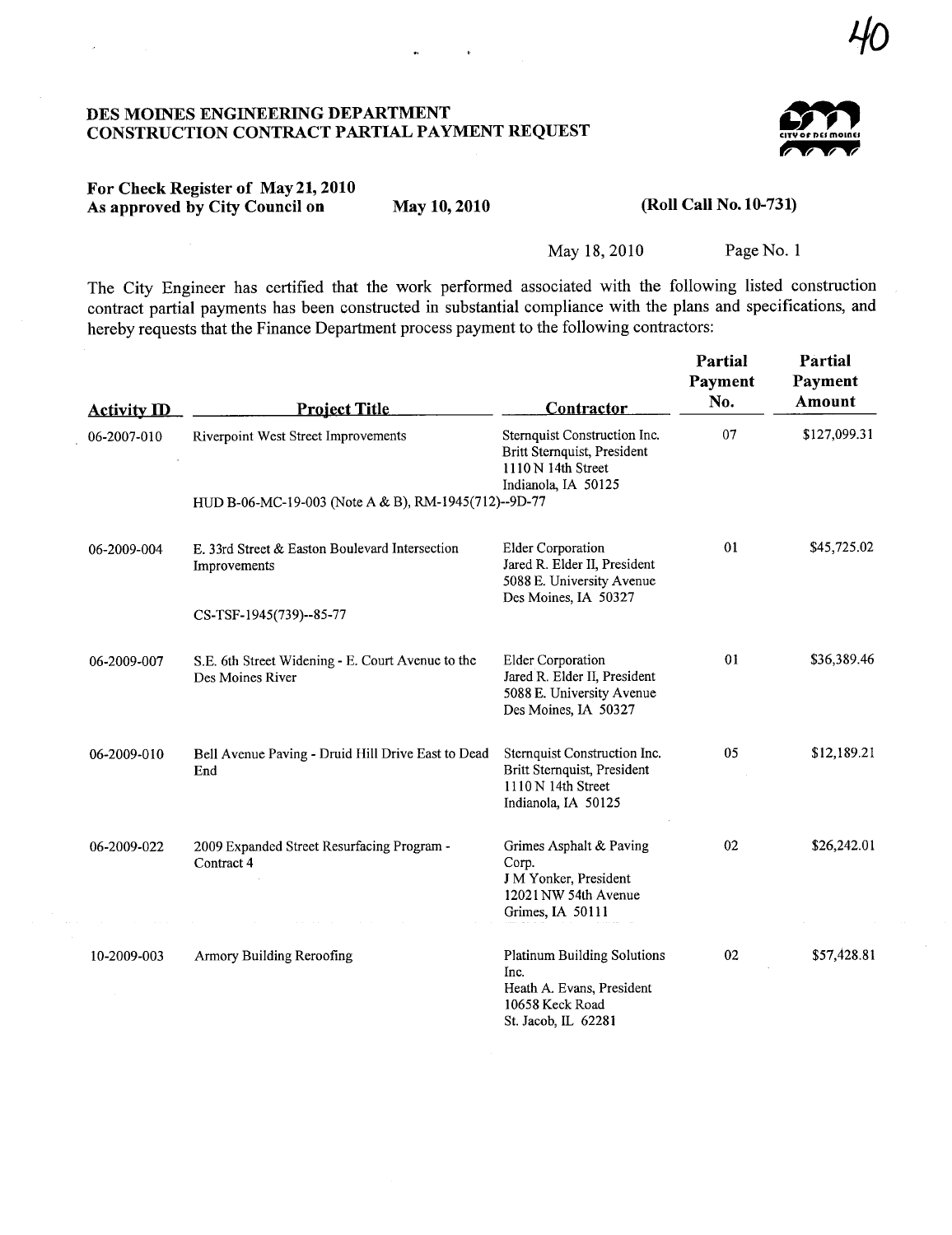### DES MOINS ENGINEERIG DEPARTMENT CONSTRUCTION CONTRACT PARTIAL PAYMENT REQUEST



40

### For Check Register of May 21,2010 As approved by City Council on May 10, 2010

(Roll Call No. 10-731)

May 18,2010 Page No.1

The City Engineer has certified that the work performed associated with the following listed construction contract partial payments has been constructed in substantial compliance with the plans and specifications, and hereby requests that the Finance Department process payment to the following contractors:

| <b>Activity ID</b> | <b>Project Title</b>                                                                        | Contractor                                                                                                        | Partial<br>Payment<br>No. | Partial<br>Payment<br>Amount |
|--------------------|---------------------------------------------------------------------------------------------|-------------------------------------------------------------------------------------------------------------------|---------------------------|------------------------------|
| 06-2007-010        | Riverpoint West Street Improvements<br>HUD B-06-MC-19-003 (Note A & B), RM-1945(712)--9D-77 | Sternquist Construction Inc.<br>Britt Sternquist, President<br>1110 N 14th Street<br>Indianola, IA 50125          | 07                        | \$127,099.31                 |
|                    |                                                                                             |                                                                                                                   |                           |                              |
| 06-2009-004        | E. 33rd Street & Easton Boulevard Intersection<br>Improvements                              | <b>Elder Corporation</b><br>Jared R. Elder II, President<br>5088 E. University Avenue<br>Des Moines, IA 50327     | 01                        | \$45,725.02                  |
|                    | CS-TSF-1945(739)--85-77                                                                     |                                                                                                                   |                           |                              |
|                    |                                                                                             |                                                                                                                   |                           |                              |
| 06-2009-007        | S.E. 6th Street Widening - E. Court Avenue to the<br>Des Moines River                       | Elder Corporation<br>Jared R. Elder II, President<br>5088 E. University Avenue<br>Des Moines, IA 50327            | 01                        | \$36,389.46                  |
| 06-2009-010        | Bell Avenue Paving - Druid Hill Drive East to Dead<br>End                                   | Sternquist Construction Inc.<br>Britt Sternquist, President<br>1110 N 14th Street<br>Indianola, IA 50125          | 05                        | \$12,189.21                  |
| 06-2009-022        | 2009 Expanded Street Resurfacing Program -<br>Contract 4                                    | Grimes Asphalt & Paving<br>Corp.<br>J M Yonker, President<br>12021 NW 54th Avenue<br>Grimes, IA 50111             | 02                        | \$26,242.01                  |
| 10-2009-003        | Armory Building Reroofing                                                                   | <b>Platinum Building Solutions</b><br>Inc.<br>Heath A. Evans, President<br>10658 Keck Road<br>St. Jacob, IL 62281 | 02                        | \$57,428.81                  |